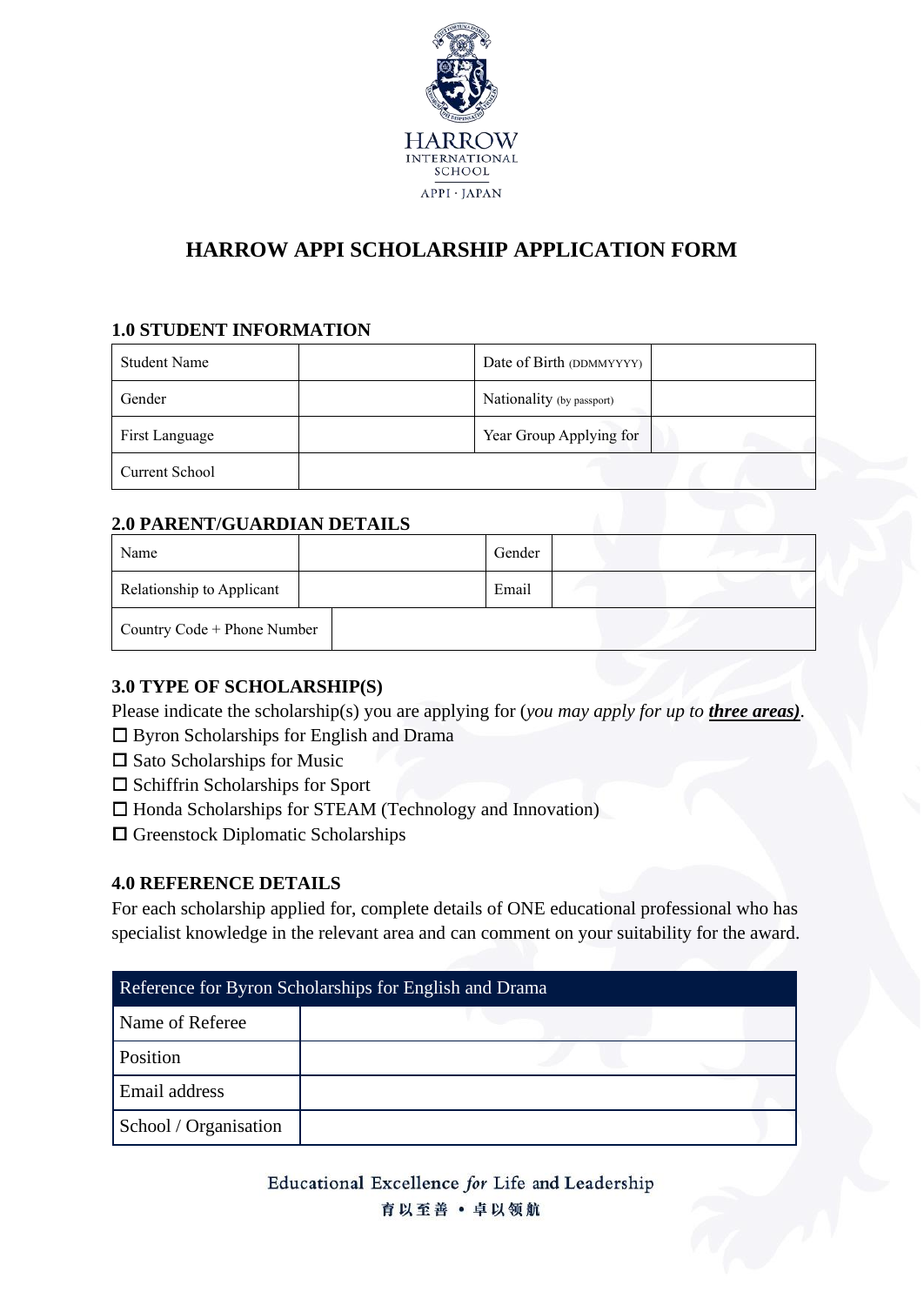

# **HARROW APPI SCHOLARSHIP APPLICATION FORM**

### **1.0 STUDENT INFORMATION**

| Student Name          | Date of Birth (DDMMYYYY)  |  |
|-----------------------|---------------------------|--|
| Gender                | Nationality (by passport) |  |
| First Language        | Year Group Applying for   |  |
| <b>Current School</b> |                           |  |

#### **2.0 PARENT/GUARDIAN DETAILS**

| Name                        | Gender |  |
|-----------------------------|--------|--|
| Relationship to Applicant   | Email  |  |
| Country Code + Phone Number |        |  |

#### **3.0 TYPE OF SCHOLARSHIP(S)**

Please indicate the scholarship(s) you are applying for (*you may apply for up to three areas)*.

- □ Byron Scholarships for English and Drama
- $\square$  Sato Scholarships for Music
- $\square$  Schiffrin Scholarships for Sport
- $\Box$  Honda Scholarships for STEAM (Technology and Innovation)
- $\square$  Greenstock Diplomatic Scholarships

#### **4.0 REFERENCE DETAILS**

For each scholarship applied for, complete details of ONE educational professional who has specialist knowledge in the relevant area and can comment on your suitability for the award.

| Reference for Byron Scholarships for English and Drama |  |  |  |
|--------------------------------------------------------|--|--|--|
| Name of Referee                                        |  |  |  |
| Position                                               |  |  |  |
| Email address                                          |  |  |  |
| School / Organisation                                  |  |  |  |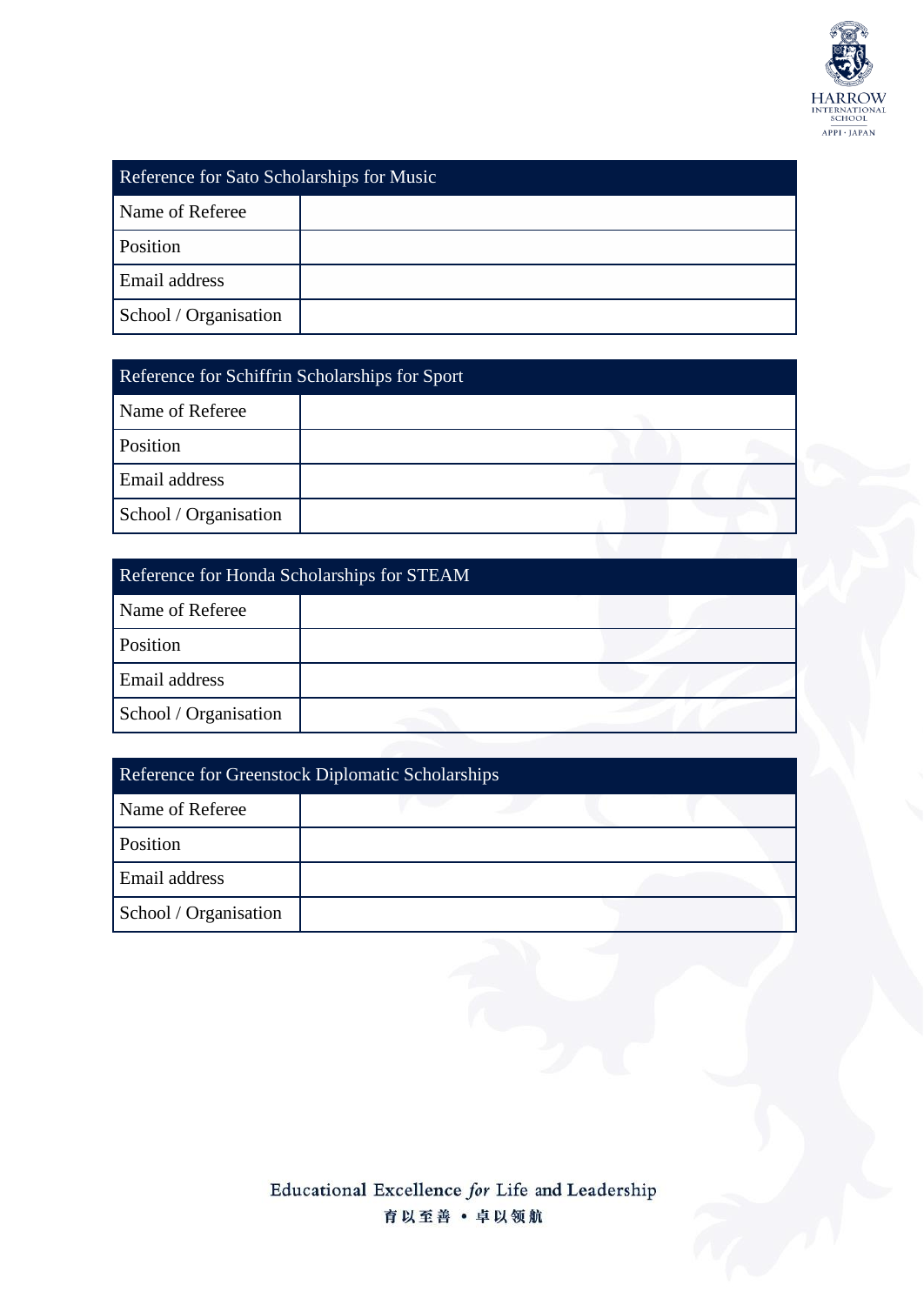

| Reference for Sato Scholarships for Music |  |  |  |
|-------------------------------------------|--|--|--|
| Name of Referee                           |  |  |  |
| Position                                  |  |  |  |
| Email address                             |  |  |  |
| School / Organisation                     |  |  |  |

| Reference for Schiffrin Scholarships for Sport |  |  |  |
|------------------------------------------------|--|--|--|
| Name of Referee                                |  |  |  |
| Position                                       |  |  |  |
| Email address                                  |  |  |  |
| School / Organisation                          |  |  |  |
|                                                |  |  |  |

| Reference for Honda Scholarships for STEAM |  |  |
|--------------------------------------------|--|--|
| Name of Referee                            |  |  |
| Position                                   |  |  |
| Email address                              |  |  |
| School / Organisation                      |  |  |

| Reference for Greenstock Diplomatic Scholarships |  |  |  |
|--------------------------------------------------|--|--|--|
| Name of Referee                                  |  |  |  |
| Position                                         |  |  |  |
| Email address                                    |  |  |  |
| School / Organisation                            |  |  |  |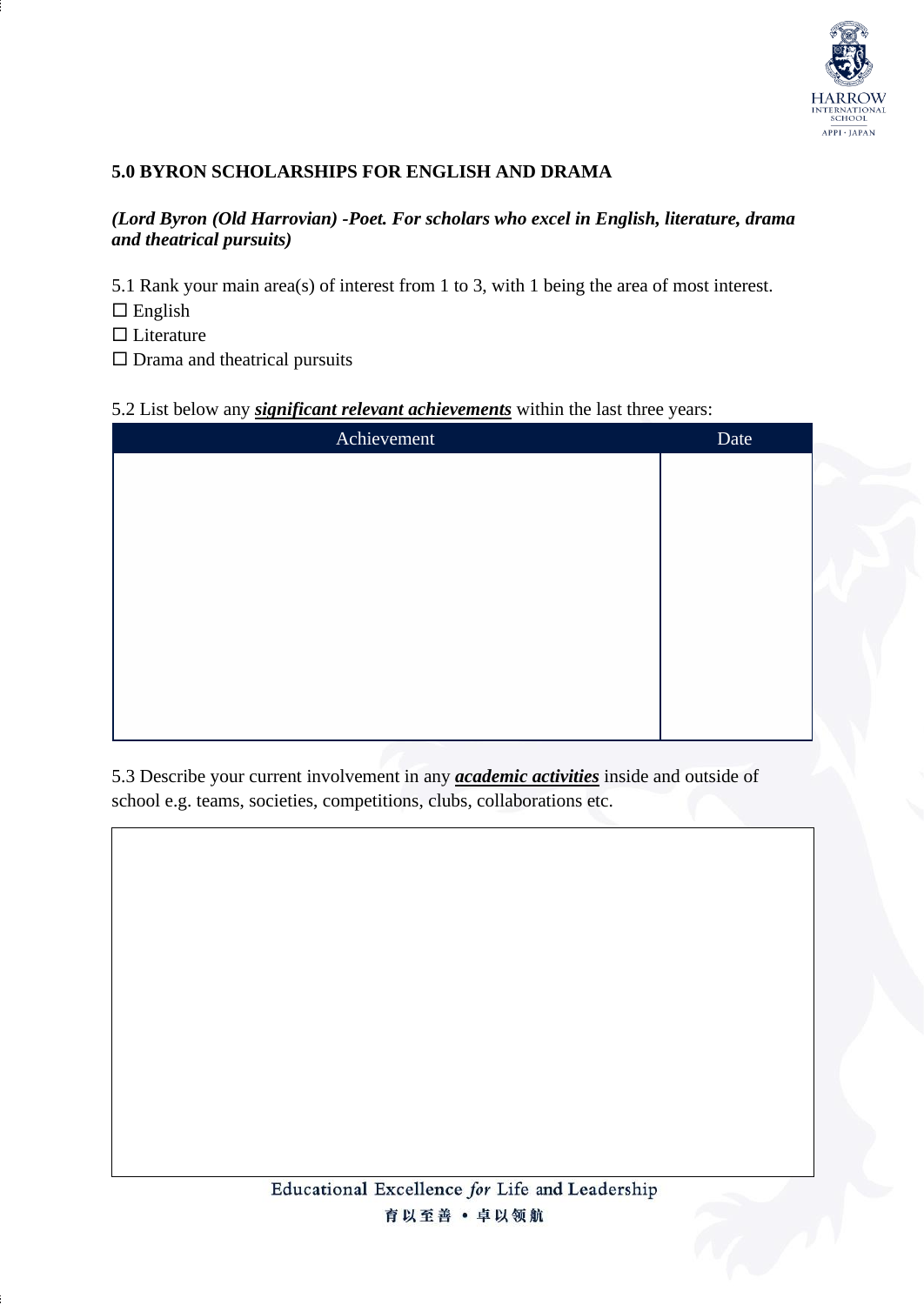

### **5.0 BYRON SCHOLARSHIPS FOR ENGLISH AND DRAMA**

#### *(Lord Byron (Old Harrovian) -Poet. For scholars who excel in English, literature, drama and theatrical pursuits)*

5.1 Rank your main area(s) of interest from 1 to 3, with 1 being the area of most interest.

 $\Box$  English

 $\square$  Literature

 $\square$  Drama and theatrical pursuits

#### 5.2 List below any *significant relevant achievements* within the last three years:

| Achievement | Date |
|-------------|------|
|             |      |
|             |      |
|             |      |
|             |      |
|             |      |
|             |      |
|             |      |
|             |      |
|             |      |

5.3 Describe your current involvement in any *academic activities* inside and outside of school e.g. teams, societies, competitions, clubs, collaborations etc.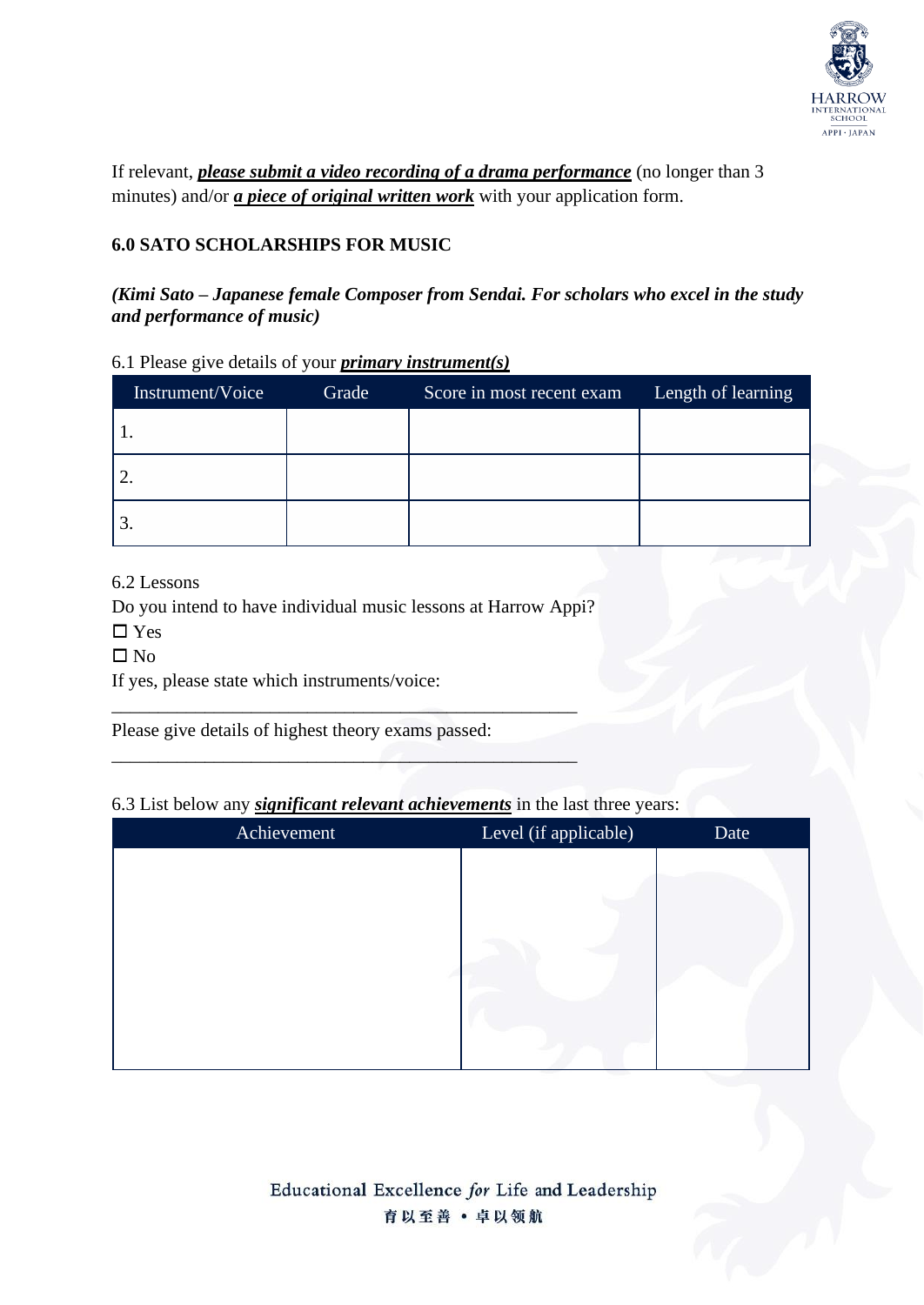

If relevant, *please submit a video recording of a drama performance* (no longer than 3 minutes) and/or *a piece of original written work* with your application form.

### **6.0 SATO SCHOLARSHIPS FOR MUSIC**

### *(Kimi Sato – Japanese female Composer from Sendai. For scholars who excel in the study and performance of music)*

|  |  |  | 6.1 Please give details of your <i>primary instrument(s)</i> |  |
|--|--|--|--------------------------------------------------------------|--|
|  |  |  |                                                              |  |

| Instrument/Voice | Grade | Score in most recent exam | Length of learning |
|------------------|-------|---------------------------|--------------------|
|                  |       |                           |                    |
|                  |       |                           |                    |
|                  |       |                           |                    |

6.2 Lessons

Do you intend to have individual music lessons at Harrow Appi?

\_\_\_\_\_\_\_\_\_\_\_\_\_\_\_\_\_\_\_\_\_\_\_\_\_\_\_\_\_\_\_\_\_\_\_\_\_\_\_\_\_\_\_\_\_\_\_\_\_\_

\_\_\_\_\_\_\_\_\_\_\_\_\_\_\_\_\_\_\_\_\_\_\_\_\_\_\_\_\_\_\_\_\_\_\_\_\_\_\_\_\_\_\_\_\_\_\_\_\_\_

□ Yes

 $\square$  No

If yes, please state which instruments/voice:

Please give details of highest theory exams passed:

### 6.3 List below any *significant relevant achievements* in the last three years:

| Achievement | Level (if applicable) | Date |
|-------------|-----------------------|------|
|             |                       |      |
|             |                       |      |
|             |                       |      |
|             |                       |      |
|             |                       |      |
|             |                       |      |
|             |                       |      |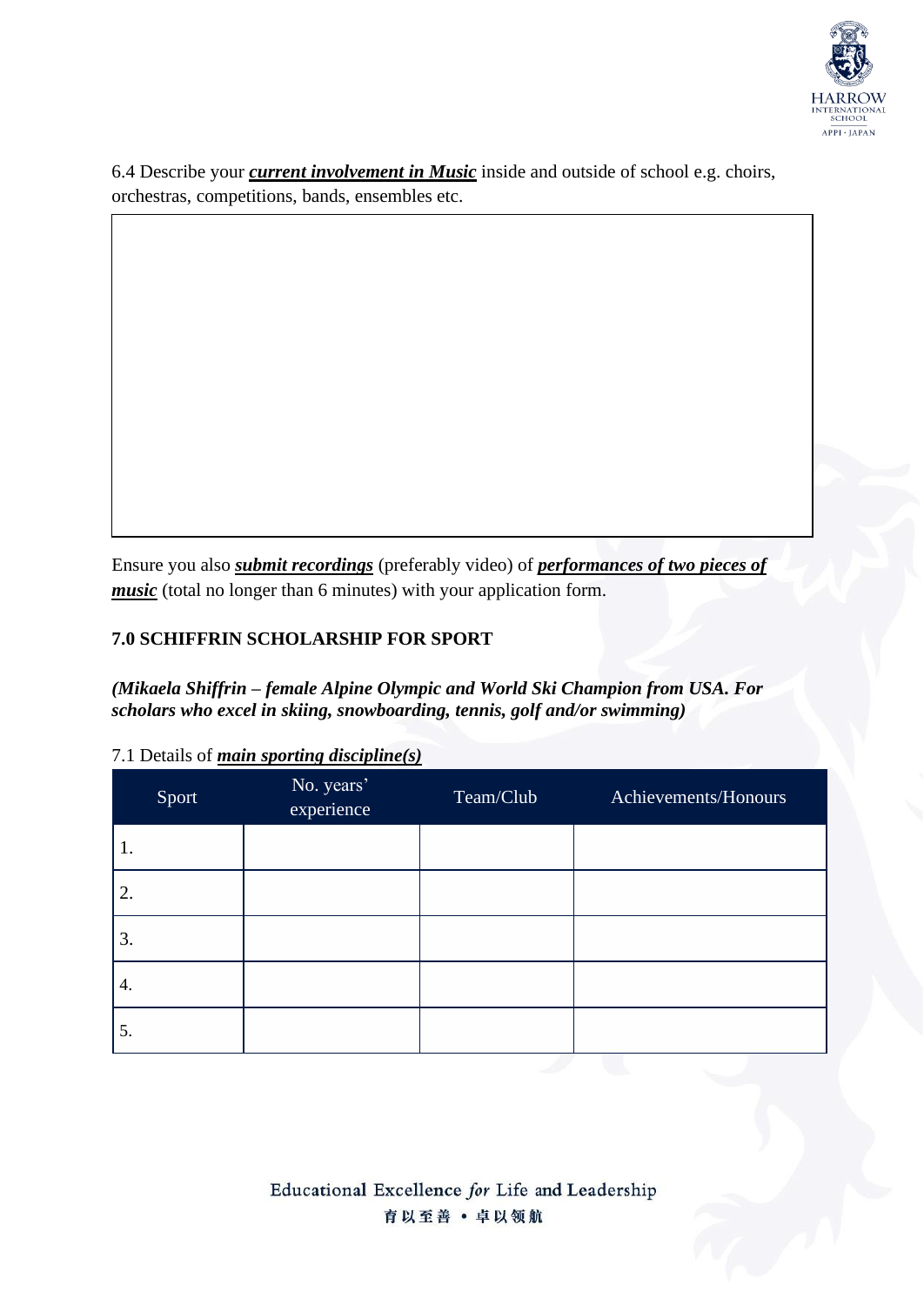

6.4 Describe your *current involvement in Music* inside and outside of school e.g. choirs, orchestras, competitions, bands, ensembles etc.

Ensure you also *submit recordings* (preferably video) of *performances of two pieces of music* (total no longer than 6 minutes) with your application form.

## **7.0 SCHIFFRIN SCHOLARSHIP FOR SPORT**

*(Mikaela Shiffrin – female Alpine Olympic and World Ski Champion from USA. For scholars who excel in skiing, snowboarding, tennis, golf and/or swimming)*

| Sport | No. years'<br>experience | Team/Club | Achievements/Honours |
|-------|--------------------------|-----------|----------------------|
| 1.    |                          |           |                      |
| 2.    |                          |           |                      |
| 3.    |                          |           |                      |
| 4.    |                          |           |                      |
| 5.    |                          |           |                      |

7.1 Details of *main sporting discipline(s)*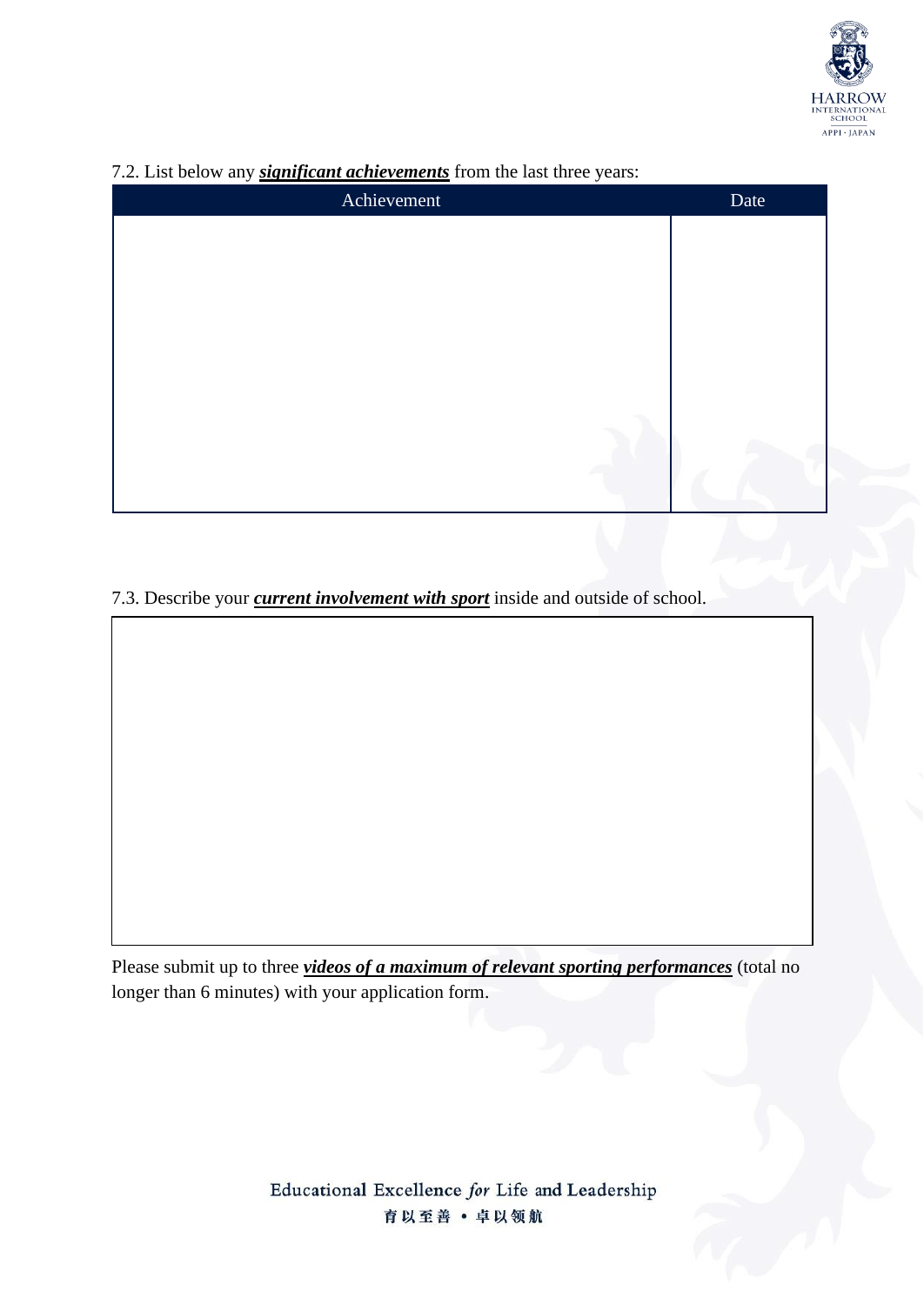

| Achievement | Date |
|-------------|------|
|             |      |
|             |      |
|             |      |
|             |      |
|             |      |
|             |      |
|             |      |
|             |      |
|             |      |

# 7.2. List below any *significant achievements* from the last three years:

7.3. Describe your *current involvement with sport* inside and outside of school.

Please submit up to three *videos of a maximum of relevant sporting performances* (total no longer than 6 minutes) with your application form.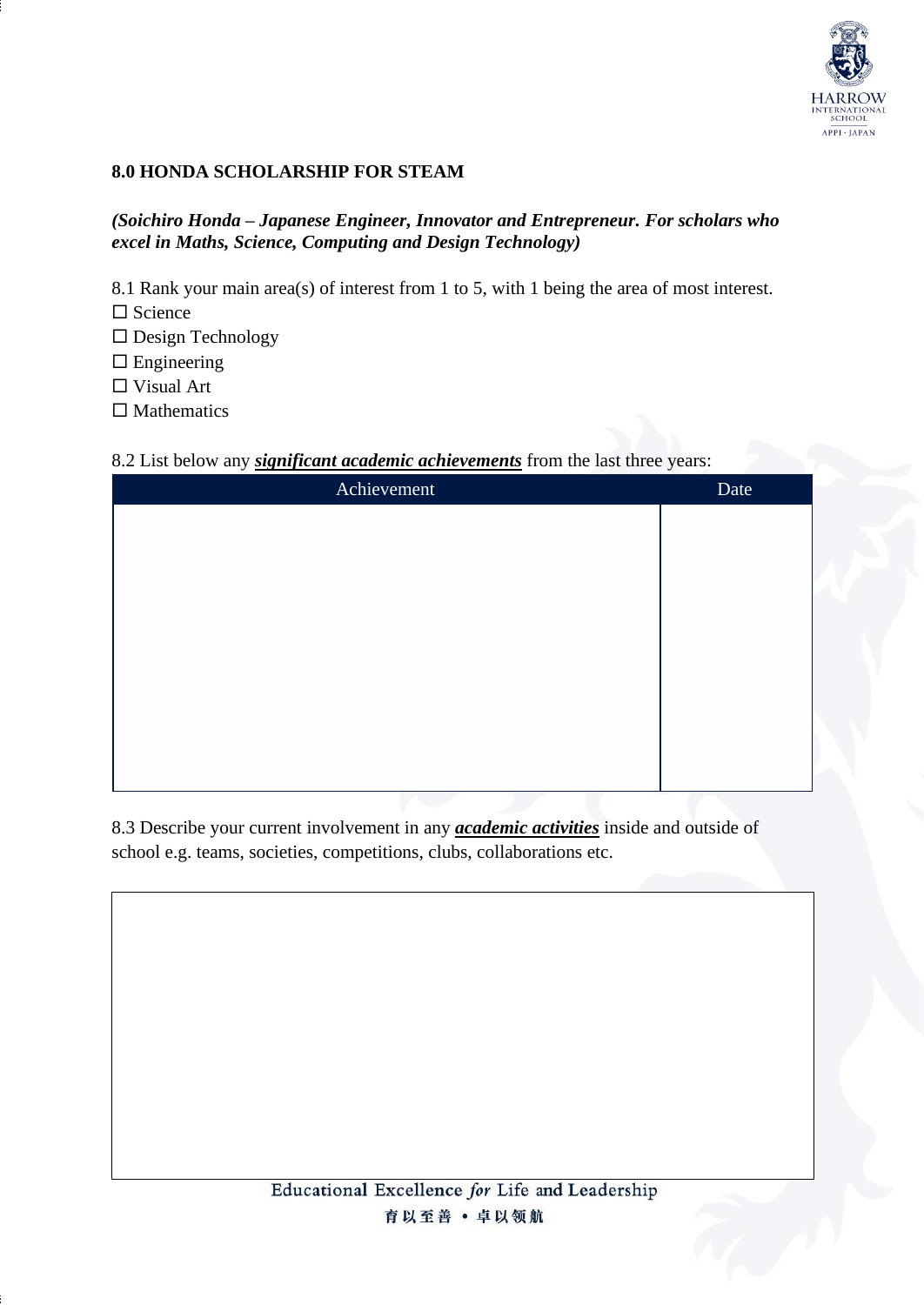

### **8.0 HONDA SCHOLARSHIP FOR STEAM**

#### *(Soichiro Honda – Japanese Engineer, Innovator and Entrepreneur. For scholars who excel in Maths, Science, Computing and Design Technology)*

8.1 Rank your main area(s) of interest from 1 to 5, with 1 being the area of most interest.

 $\Box$  Science

 $\Box$  Design Technology

 $\square$  Engineering

□ Visual Art

 $\square$  Mathematics

#### 8.2 List below any *significant academic achievements* from the last three years:

| Achievement | Date |
|-------------|------|
|             |      |
|             |      |
|             |      |
|             |      |
|             |      |
|             |      |
|             |      |
|             |      |
|             |      |

8.3 Describe your current involvement in any *academic activities* inside and outside of school e.g. teams, societies, competitions, clubs, collaborations etc.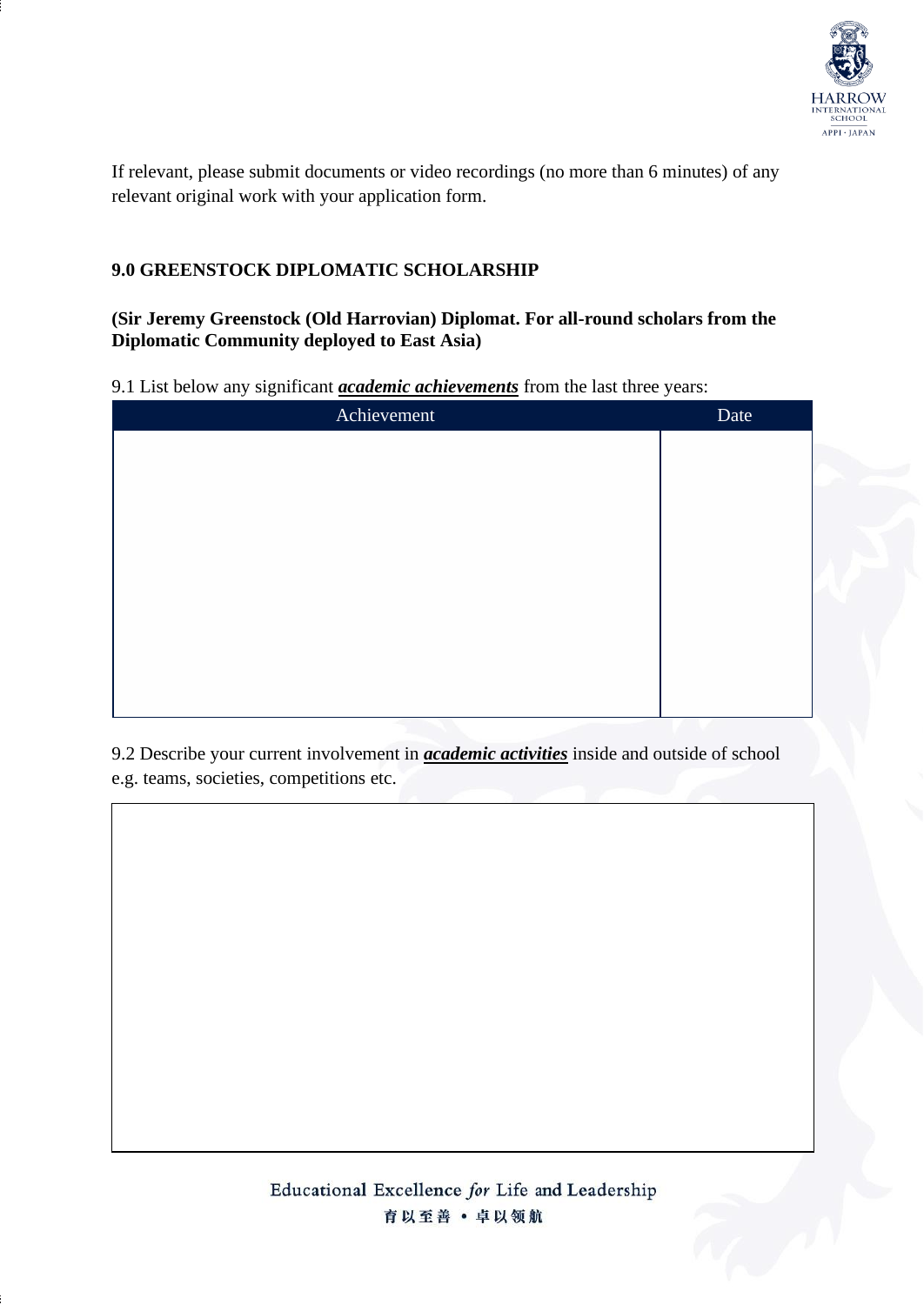

If relevant, please submit documents or video recordings (no more than 6 minutes) of any relevant original work with your application form.

### **9.0 GREENSTOCK DIPLOMATIC SCHOLARSHIP**

#### **(Sir Jeremy Greenstock (Old Harrovian) Diplomat. For all-round scholars from the Diplomatic Community deployed to East Asia)**

9.1 List below any significant *academic achievements* from the last three years:

| Achievement | Date |
|-------------|------|
|             |      |
|             |      |
|             |      |
|             |      |
|             |      |
|             |      |
|             |      |
|             |      |
|             |      |

9.2 Describe your current involvement in *academic activities* inside and outside of school e.g. teams, societies, competitions etc.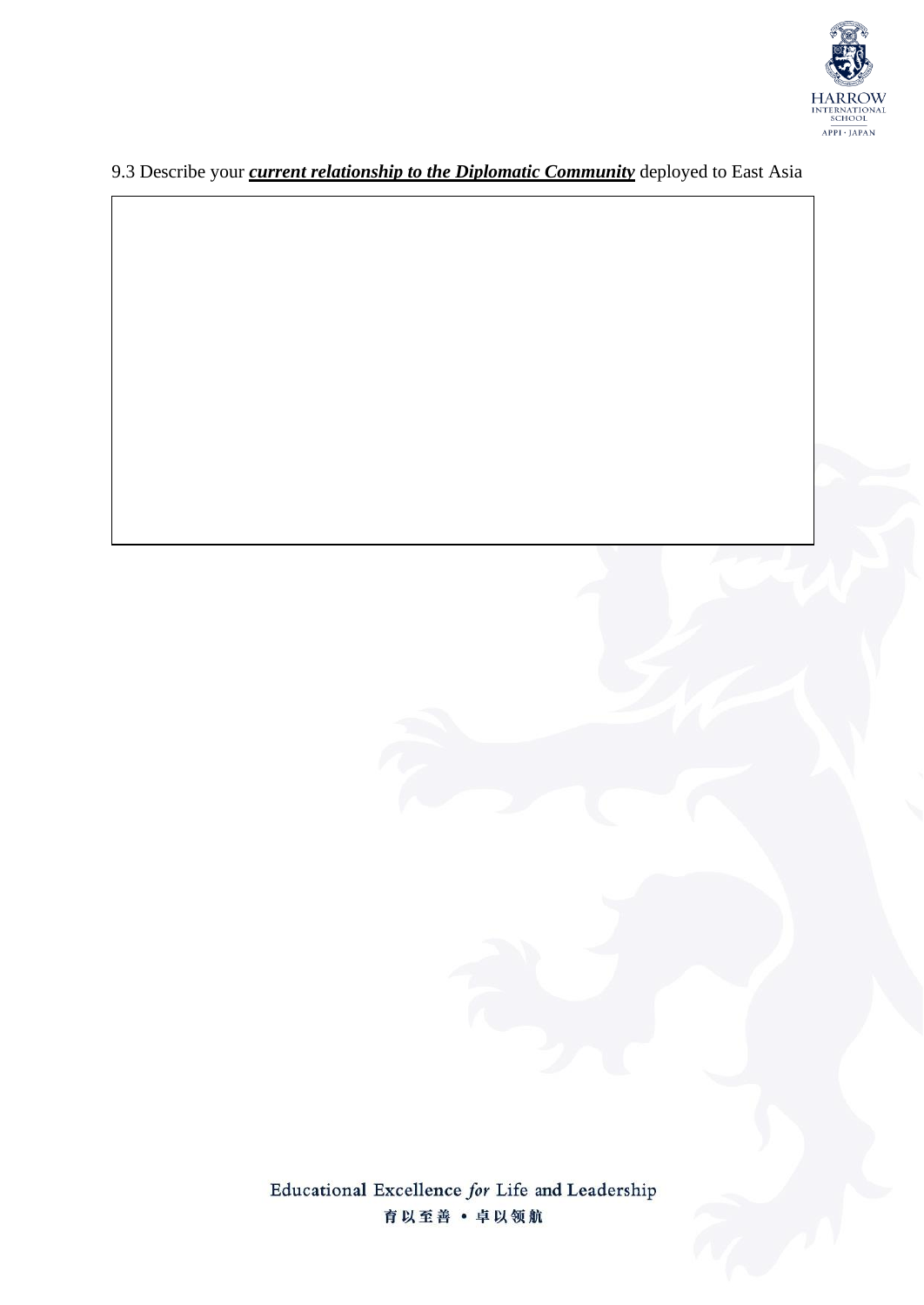

# 9.3 Describe your *current relationship to the Diplomatic Community* deployed to East Asia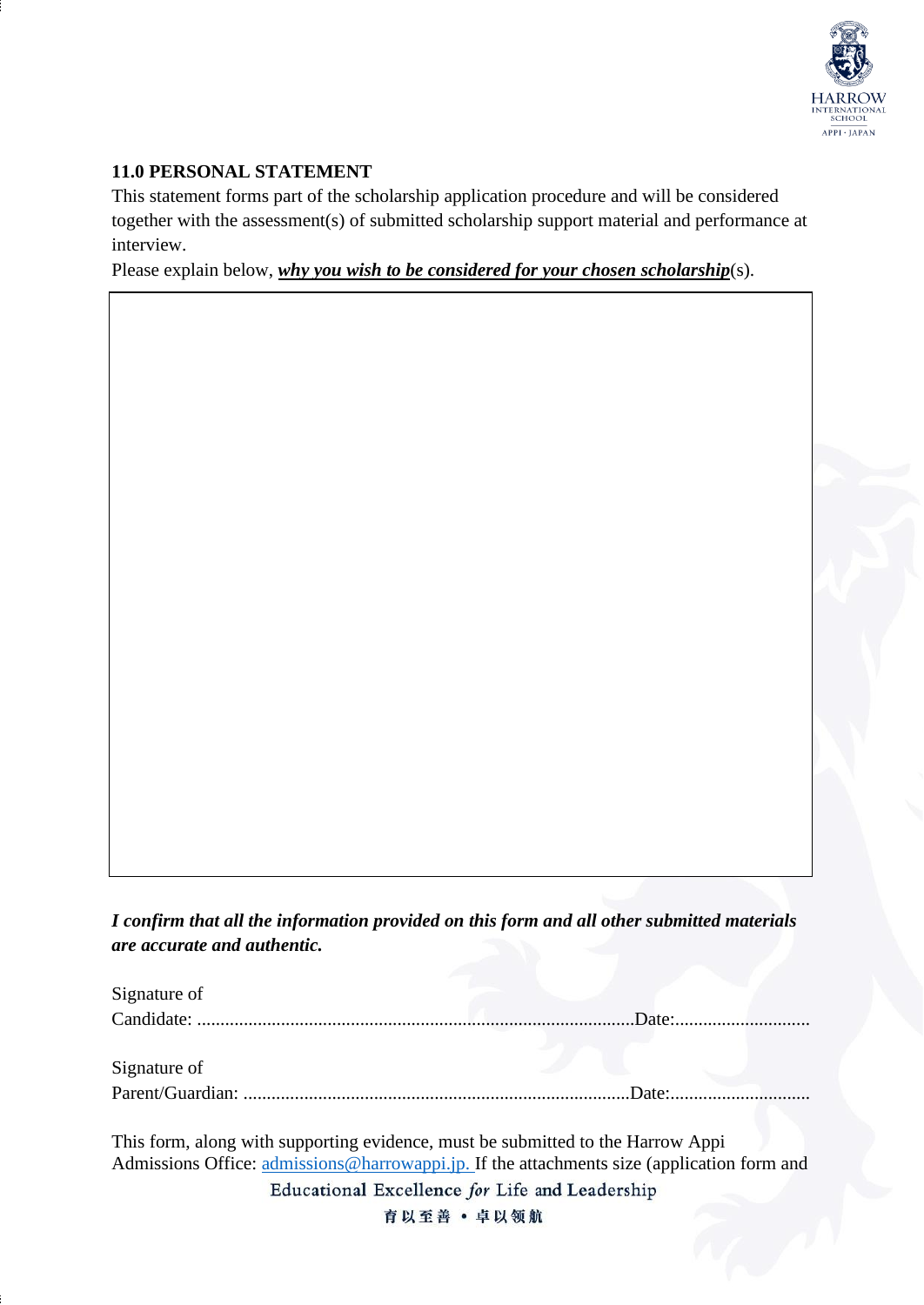

### **11.0 PERSONAL STATEMENT**

This statement forms part of the scholarship application procedure and will be considered together with the assessment(s) of submitted scholarship support material and performance at interview.

Please explain below, *why you wish to be considered for your chosen scholarship*(s).

*I confirm that all the information provided on this form and all other submitted materials are accurate and authentic.*

| Signature of                                                                                                                                                                  |             |
|-------------------------------------------------------------------------------------------------------------------------------------------------------------------------------|-------------|
|                                                                                                                                                                               | Date: Date: |
|                                                                                                                                                                               |             |
| Signature of                                                                                                                                                                  |             |
|                                                                                                                                                                               | Date:       |
| This form, along with supporting evidence, must be submitted to the Harrow Appi<br>Admissions Office: admissions@harrowappi.jp. If the attachments size (application form and |             |
| Educational Excellence for Life and Leadership                                                                                                                                |             |
| 育以至善 · 卓以领航                                                                                                                                                                   |             |
|                                                                                                                                                                               |             |